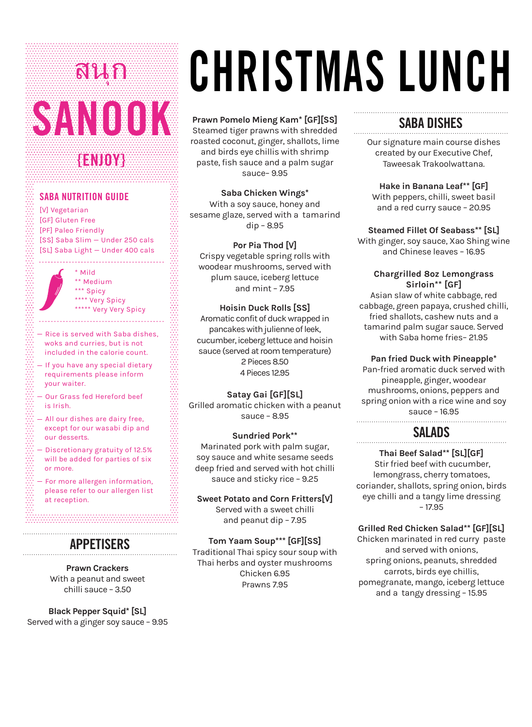# SANOOK **{ENJOY}** สนุก

# **SABA NUTRITION GUIDE**

[V] Vegetarian [GF] Gluten Free [PF] Paleo Friendly [SS] Saba Slim — Under 250 cals [SL] Saba Light — Under 400 cals

> \* Mild \*\* Medium \*\*\* Spicy \*\*\*\* Very Spicy \*\*\*\*\* Very Very Spicy

- $-$  Rice is served with Saba dishes, woks and curries, but is not included in the calorie count.
- $-$  If you have any special dietary requirements please inform your waiter.
- Our Grass fed Hereford beef is Irish.
- All our dishes are dairy free, except for our wasabi dip and our desserts.
- Discretionary gratuity of 12.5% will be added for parties of six or more.
- $-$  For more allergen information, please refer to our allergen list at reception.

# **APPETISERS**

**Prawn Crackers**  With a peanut and sweet chilli sauce – 3.50

**Black Pepper Squid\* [SL]**  Served with a ginger soy sauce – 9.95

# CHRISTMAS LUNCH

de de de decem

### **Prawn Pomelo Mieng Kam\* [GF][SS]**

Steamed tiger prawns with shredded roasted coconut, ginger, shallots, lime and birds eye chillis with shrimp paste, fish sauce and a palm sugar sauce– 9.95

**Saba Chicken Wings\***  With a soy sauce, honey and sesame glaze, served with a tamarind dip – 8.95

**Por Pia Thod [V]**  Crispy vegetable spring rolls with woodear mushrooms, served with plum sauce, iceberg lettuce and mint – 7.95

#### **Hoisin Duck Rolls [SS]**

Aromatic confit of duck wrapped in pancakes with julienne of leek, cucumber, iceberg lettuce and hoisin sauce (served at room temperature) 2 Pieces 8.50 4 Pieces 12.95

#### **Satay Gai [GF][SL]**

Grilled aromatic chicken with a peanut sauce – 8.95

#### **Sundried Pork\*\***

Marinated pork with palm sugar, soy sauce and white sesame seeds deep fried and served with hot chilli sauce and sticky rice – 9.25

**Sweet Potato and Corn Fritters[V]**  Served with a sweet chilli and peanut dip – 7.95

**Tom Yaam Soup\*\*\* [GF][SS]** Traditional Thai spicy sour soup with Thai herbs and oyster mushrooms Chicken 6.95 Prawns 7.95

# **SABA DISHES**

Our signature main course dishes created by our Executive Chef, Taweesak Trakoolwattana.

**Hake in Banana Leaf\*\* [GF]**  With peppers, chilli, sweet basil and a red curry sauce – 20.95

**Steamed Fillet Of Seabass\*\* [SL]** With ginger, soy sauce, Xao Shing wine and Chinese leaves – 16.95

#### **Chargrilled 8oz Lemongrass Sirloin\*\* [GF]**

Asian slaw of white cabbage, red cabbage, green papaya, crushed chilli, fried shallots, cashew nuts and a tamarind palm sugar sauce. Served with Saba home fries– 21.95

#### **Pan fried Duck with Pineapple\***

Pan-fried aromatic duck served with pineapple, ginger, woodear mushrooms, onions, peppers and spring onion with a rice wine and soy

sauce – 16.95

# **SALADS**

## **Thai Beef Salad\*\* [SL][GF]**

Stir fried beef with cucumber, lemongrass, cherry tomatoes, coriander, shallots, spring onion, birds eye chilli and a tangy lime dressing – 17.95

# **Grilled Red Chicken Salad\*\* [GF][SL]**

Chicken marinated in red curry paste and served with onions, spring onions, peanuts, shredded carrots, birds eye chillis, pomegranate, mango, iceberg lettuce and a tangy dressing – 15.95